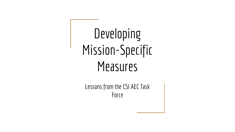# Developing Mission-Specific **Measures**

Lessons from the CSI AEC Task Force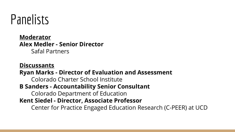

**Moderator Alex Medler - Senior Director** Safal Partners

**Discussants Ryan Marks - Director of Evaluation and Assessment**  Colorado Charter School Institute **B Sanders - Accountability Senior Consultant** Colorado Department of Education **Kent Siedel - Director, Associate Professor** Center for Practice Engaged Education Research (C-PEER) at UCD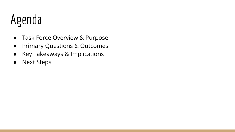## Agenda

- Task Force Overview & Purpose
- Primary Questions & Outcomes
- Key Takeaways & Implications
- Next Steps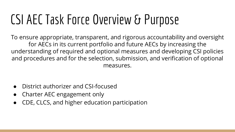## CSI AEC Task Force Overview & Purpose

To ensure appropriate, transparent, and rigorous accountability and oversight for AECs in its current portfolio and future AECs by increasing the understanding of required and optional measures and developing CSI policies and procedures and for the selection, submission, and verification of optional measures.

- District authorizer and CSI-focused
- Charter AEC engagement only
- CDE, CLCS, and higher education participation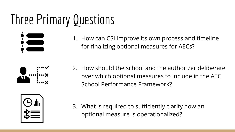## Three Primary Questions



1. How can CSI improve its own process and timeline for finalizing optional measures for AECs?



2. How should the school and the authorizer deliberate over which optional measures to include in the AEC School Performance Framework?



3. What is required to sufficiently clarify how an optional measure is operationalized?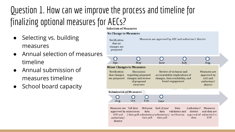#### Question 1. How can we improve the process and timeline for finalizing optional measures for AECs?

- Selecting vs. building measures
- Annual selection of measures timeline
- Annual submission of measures timeline
- School board capacity

**Selection of Measures** 

| <b>No Change to Measures</b>                                                |                                                                                   |                   |                                                                                                                  |                                                                                                                                               |                                                                   |  |
|-----------------------------------------------------------------------------|-----------------------------------------------------------------------------------|-------------------|------------------------------------------------------------------------------------------------------------------|-----------------------------------------------------------------------------------------------------------------------------------------------|-------------------------------------------------------------------|--|
| Notification<br>that no<br>changes are<br>proposed                          |                                                                                   |                   |                                                                                                                  | Measures are approved by AEC and authorizer/ district                                                                                         |                                                                   |  |
| Apr.                                                                        | May                                                                               |                   | Iune                                                                                                             | July                                                                                                                                          | Aug.                                                              |  |
| <b>Minor Changes to Measures</b>                                            |                                                                                   |                   |                                                                                                                  |                                                                                                                                               |                                                                   |  |
| <b>Notification</b><br>that changes<br>are proposed                         | Discussion<br>regarding proposed<br>changes and review<br>of proposed<br>measures |                   | Review of technical and<br>accountability implications of<br>changes, data availability, and<br>board engagement |                                                                                                                                               | Measures are<br>approved by<br>AEC and<br>authorizer/<br>district |  |
| <b>Submission of Measures</b>                                               |                                                                                   |                   |                                                                                                                  |                                                                                                                                               |                                                                   |  |
| Aug.                                                                        | Oct.                                                                              | Feb.              | Iune                                                                                                             |                                                                                                                                               |                                                                   |  |
| Measures are Fall data<br>approved by submission<br>authorizer/<br>district |                                                                                   | data<br>data pull | Mid-year End of year<br>data<br>data pull                                                                        | Data<br>Authorizer/<br>validation and<br>district<br>AEC and / data pull submission/submission/ verification approval of submitted to<br>data | Measures<br>and data are<br><b>CDE</b>                            |  |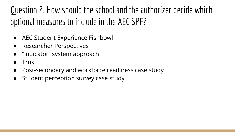Question 2. How should the school and the authorizer decide which optional measures to include in the AEC SPF?

- AEC Student Experience Fishbowl
- Researcher Perspectives
- "Indicator" system approach
- **Trust**
- Post-secondary and workforce readiness case study
- Student perception survey case study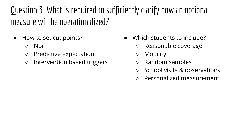Question 3. What is required to sufficiently clarify how an optional measure will be operationalized?

- How to set cut points?
	- Norm
	- Predictive expectation
	- Intervention based triggers
- Which students to include?
	- Reasonable coverage
	- Mobility
	- Random samples
	- School visits & observations
	- Personalized measurement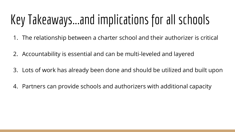## Key Takeaways...and implications for all schools

- 1. The relationship between a charter school and their authorizer is critical
- 2. Accountability is essential and can be multi-leveled and layered
- 3. Lots of work has already been done and should be utilized and built upon
- 4. Partners can provide schools and authorizers with additional capacity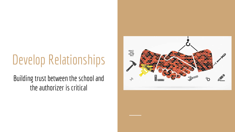## Develop Relationships

Building trust between the school and the authorizer is critical

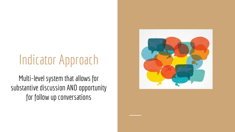### Indicator Approach

Multi-level system that allows for substantive discussion AND opportunity for follow up conversations

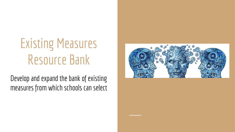## Existing Measures Resource Bank

Develop and expand the bank of existing measures from which schools can select

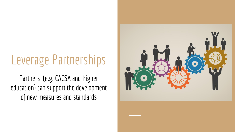### Leverage Partnerships

Partners (e.g. CACSA and higher education) can support the development of new measures and standards

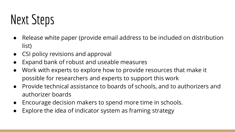## Next Steps

- Release white paper (provide email address to be included on distribution list)
- CSI policy revisions and approval
- Expand bank of robust and useable measures
- Work with experts to explore how to provide resources that make it possible for researchers and experts to support this work
- Provide technical assistance to boards of schools, and to authorizers and authorizer boards
- Encourage decision makers to spend more time in schools.
- Explore the idea of indicator system as framing strategy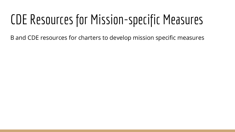### CDE Resources for Mission-specific Measures

B and CDE resources for charters to develop mission specific measures